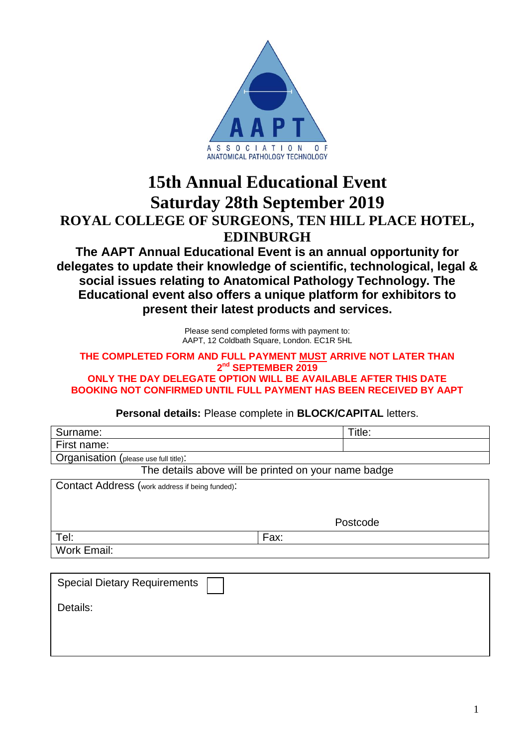

## **15th Annual Educational Event Saturday 28th September 2019 ROYAL COLLEGE OF SURGEONS, TEN HILL PLACE HOTEL, EDINBURGH**

**The AAPT Annual Educational Event is an annual opportunity for delegates to update their knowledge of scientific, technological, legal & social issues relating to Anatomical Pathology Technology. The Educational event also offers a unique platform for exhibitors to present their latest products and services.**

> Please send completed forms with payment to: AAPT, 12 Coldbath Square, London. EC1R 5HL

## **THE COMPLETED FORM AND FULL PAYMENT MUST ARRIVE NOT LATER THAN 2 nd SEPTEMBER 2019**

**ONLY THE DAY DELEGATE OPTION WILL BE AVAILABLE AFTER THIS DATE BOOKING NOT CONFIRMED UNTIL FULL PAYMENT HAS BEEN RECEIVED BY AAPT**

**Personal details:** Please complete in **BLOCK/CAPITAL** letters.

| Surname:                                             |      | Title:   |  |
|------------------------------------------------------|------|----------|--|
| First name:                                          |      |          |  |
| Organisation (please use full title):                |      |          |  |
| The details above will be printed on your name badge |      |          |  |
| Contact Address (work address if being funded):      |      |          |  |
|                                                      |      |          |  |
|                                                      |      | Postcode |  |
|                                                      |      |          |  |
| Tel:                                                 | Fax: |          |  |
| Work Email:                                          |      |          |  |
|                                                      |      |          |  |
| <b>Special Dietary Requirements</b>                  |      |          |  |
| Details:                                             |      |          |  |